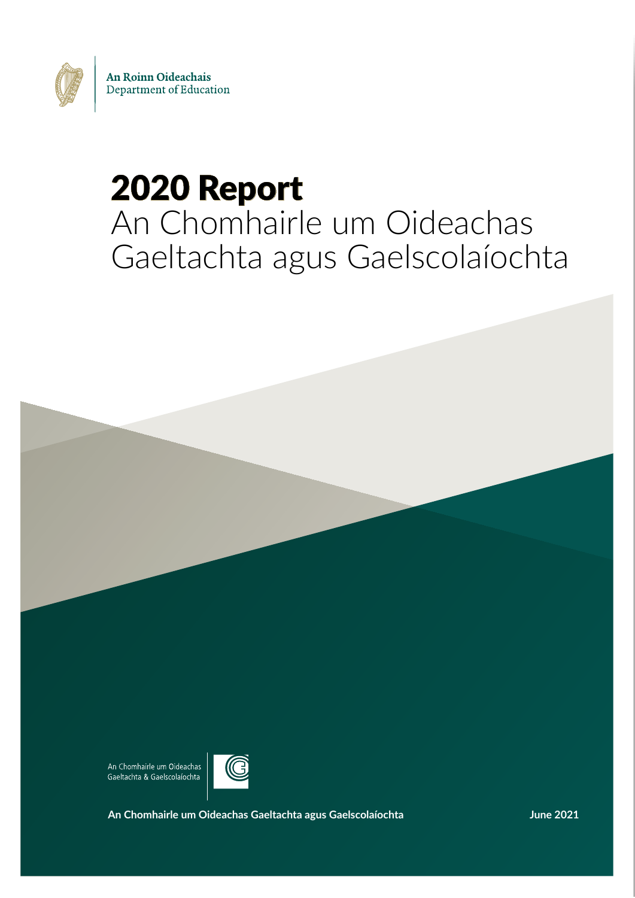

# 2020 Report An Chomhairle um Oideachas Gaeltachta agus Gaelscolaíochta



An Chomhairle um Oideachas<br>Gaeltachta & Gaelscolaíochta



**An Chomhairle um Oideachas Gaeltachta agus Gaelscolaíochta June 2021**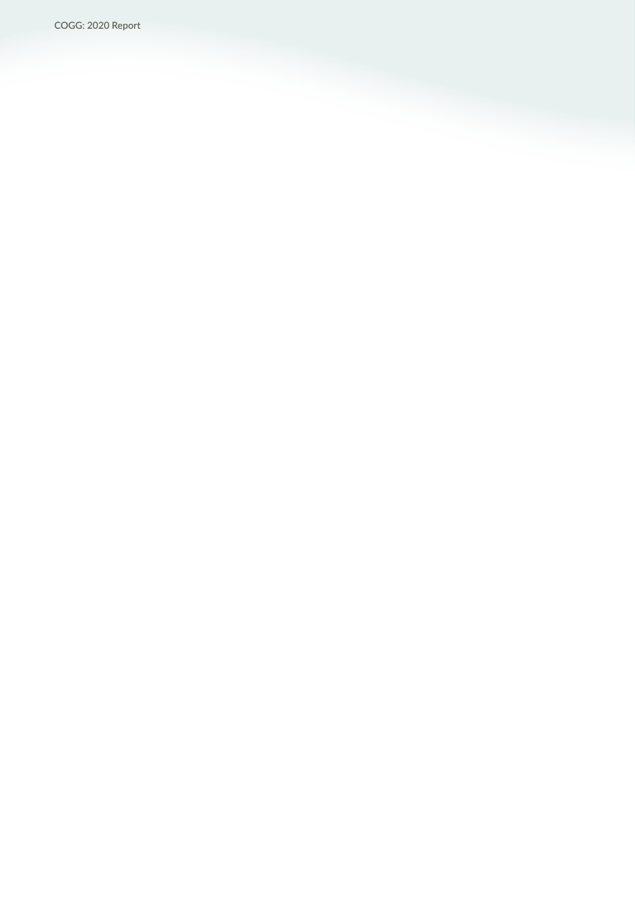COGG: 2020 Report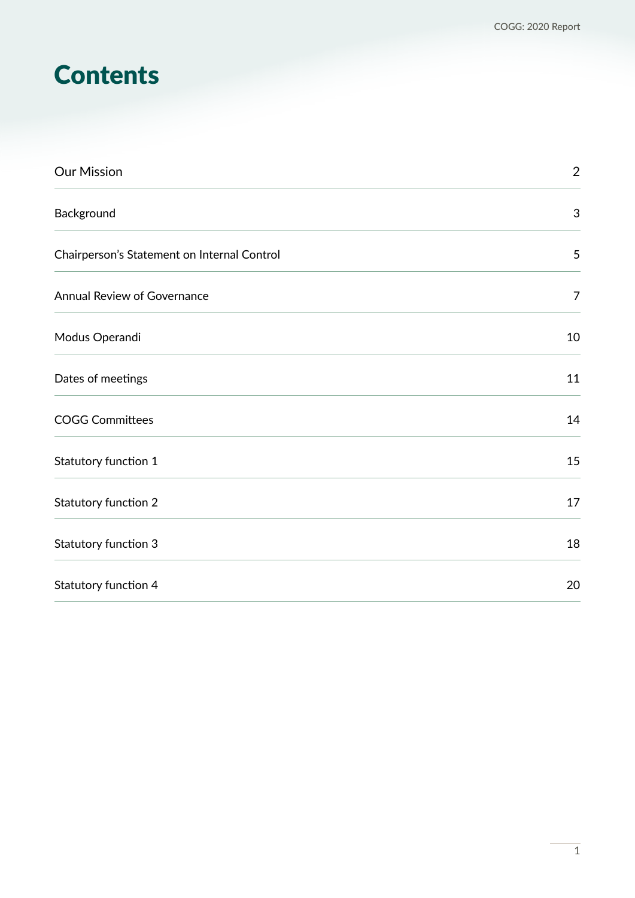## **Contents**

| <b>Our Mission</b>                          | $\overline{2}$ |
|---------------------------------------------|----------------|
| Background                                  | $\mathfrak{S}$ |
| Chairperson's Statement on Internal Control | 5              |
| Annual Review of Governance                 | $\overline{7}$ |
| Modus Operandi                              | 10             |
| Dates of meetings                           | 11             |
| <b>COGG Committees</b>                      | 14             |
| Statutory function 1                        | 15             |
| Statutory function 2                        | 17             |
| Statutory function 3                        | 18             |
| Statutory function 4                        | 20             |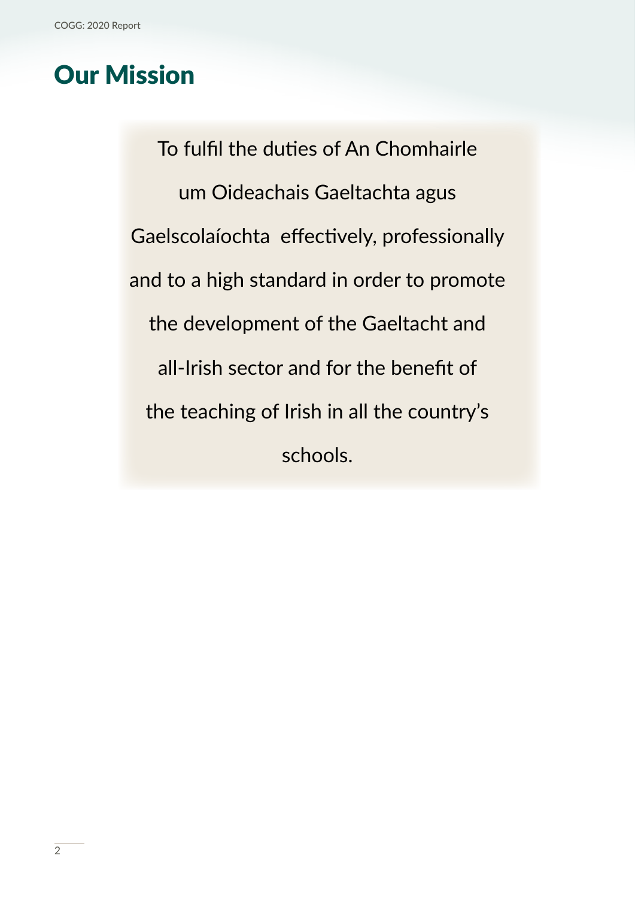## **Our Mission**

To fulfil the duties of An Chomhairle um Oideachais Gaeltachta agus Gaelscolaíochta effectively, professionally and to a high standard in order to promote the development of the Gaeltacht and all-Irish sector and for the benefit of the teaching of Irish in all the country's schools.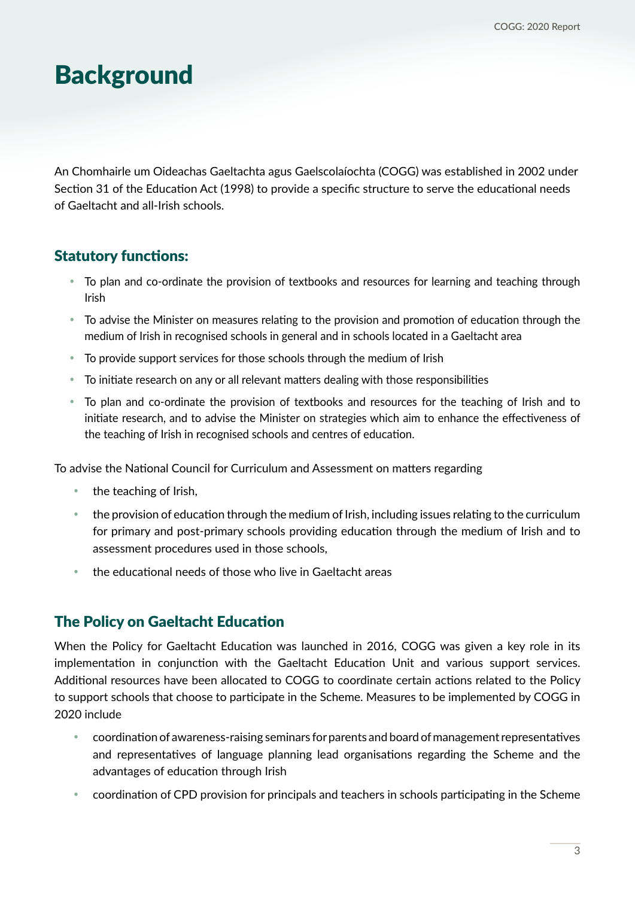### **Background**

An Chomhairle um Oideachas Gaeltachta agus Gaelscolaíochta (COGG) was established in 2002 under Section 31 of the Education Act (1998) to provide a specific structure to serve the educational needs of Gaeltacht and all-Irish schools.

### Statutory functions:

- To plan and co-ordinate the provision of textbooks and resources for learning and teaching through Irish
- • To advise the Minister on measures relating to the provision and promotion of education through the medium of Irish in recognised schools in general and in schools located in a Gaeltacht area
- To provide support services for those schools through the medium of Irish
- • To initiate research on any or all relevant matters dealing with those responsibilities
- To plan and co-ordinate the provision of textbooks and resources for the teaching of Irish and to initiate research, and to advise the Minister on strategies which aim to enhance the effectiveness of the teaching of Irish in recognised schools and centres of education.

To advise the National Council for Curriculum and Assessment on matters regarding

- the teaching of Irish,
- the provision of education through the medium of Irish, including issues relating to the curriculum for primary and post-primary schools providing education through the medium of Irish and to assessment procedures used in those schools,
- the educational needs of those who live in Gaeltacht areas

#### The Policy on Gaeltacht Education

When the Policy for Gaeltacht Education was launched in 2016, COGG was given a key role in its implementation in conjunction with the Gaeltacht Education Unit and various support services. Additional resources have been allocated to COGG to coordinate certain actions related to the Policy to support schools that choose to participate in the Scheme. Measures to be implemented by COGG in 2020 include

- coordination of awareness-raising seminars for parents and board of management representatives and representatives of language planning lead organisations regarding the Scheme and the advantages of education through Irish
- coordination of CPD provision for principals and teachers in schools participating in the Scheme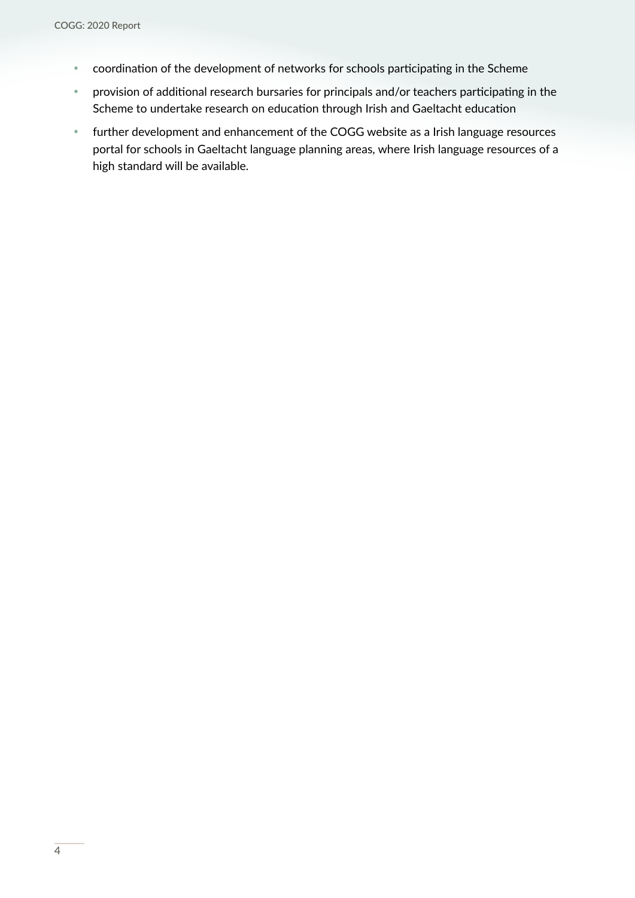- coordination of the development of networks for schools participating in the Scheme
- provision of additional research bursaries for principals and/or teachers participating in the Scheme to undertake research on education through Irish and Gaeltacht education
- further development and enhancement of the COGG website as a Irish language resources portal for schools in Gaeltacht language planning areas, where Irish language resources of a high standard will be available.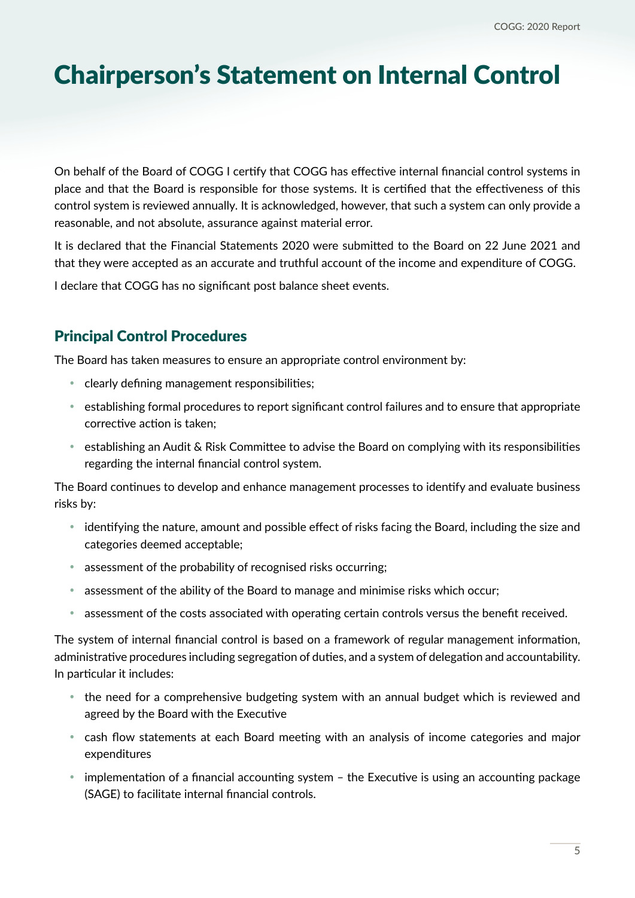## Chairperson's Statement on Internal Control

On behalf of the Board of COGG I certify that COGG has effective internal financial control systems in place and that the Board is responsible for those systems. It is certified that the effectiveness of this control system is reviewed annually*.* It is acknowledged, however, that such a system can only provide a reasonable, and not absolute, assurance against material error.

It is declared that the Financial Statements 2020 were submitted to the Board on 22 June 2021 and that they were accepted as an accurate and truthful account of the income and expenditure of COGG.

I declare that COGG has no significant post balance sheet events.

### Principal Control Procedures

The Board has taken measures to ensure an appropriate control environment by:

- clearly defining management responsibilities;
- establishing formal procedures to report significant control failures and to ensure that appropriate corrective action is taken;
- establishing an Audit & Risk Committee to advise the Board on complying with its responsibilities regarding the internal financial control system.

The Board continues to develop and enhance management processes to identify and evaluate business risks by:

- identifying the nature, amount and possible effect of risks facing the Board, including the size and categories deemed acceptable;
- assessment of the probability of recognised risks occurring;
- assessment of the ability of the Board to manage and minimise risks which occur;
- assessment of the costs associated with operating certain controls versus the benefit received.

The system of internal financial control is based on a framework of regular management information, administrative procedures including segregation of duties, and a system of delegation and accountability. In particular it includes:

- the need for a comprehensive budgeting system with an annual budget which is reviewed and agreed by the Board with the Executive
- cash flow statements at each Board meeting with an analysis of income categories and major expenditures
- implementation of a financial accounting system the Executive is using an accounting package (SAGE) to facilitate internal financial controls.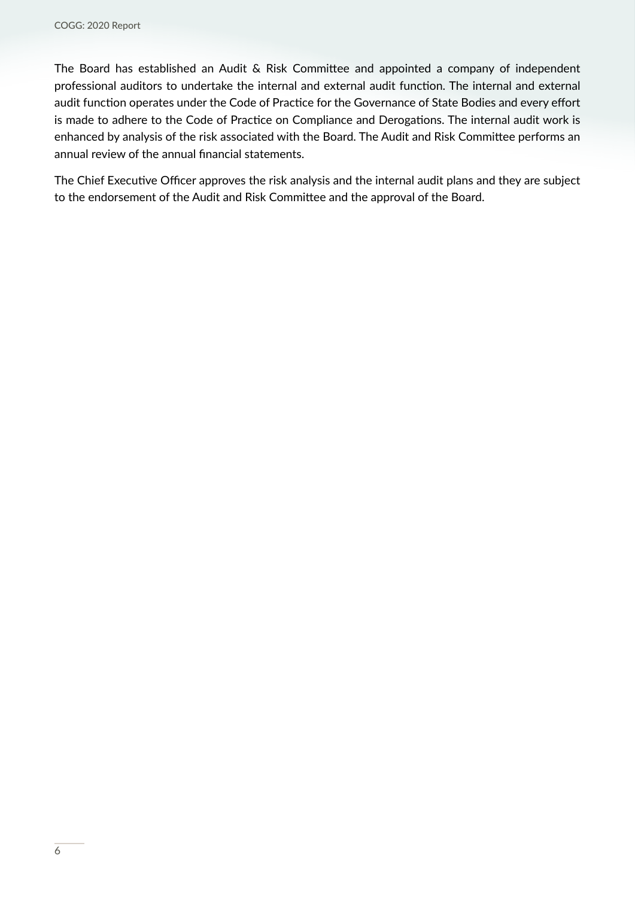The Board has established an Audit & Risk Committee and appointed a company of independent professional auditors to undertake the internal and external audit function. The internal and external audit function operates under the Code of Practice for the Governance of State Bodies and every effort is made to adhere to the Code of Practice on Compliance and Derogations. The internal audit work is enhanced by analysis of the risk associated with the Board. The Audit and Risk Committee performs an annual review of the annual financial statements.

The Chief Executive Officer approves the risk analysis and the internal audit plans and they are subject to the endorsement of the Audit and Risk Committee and the approval of the Board.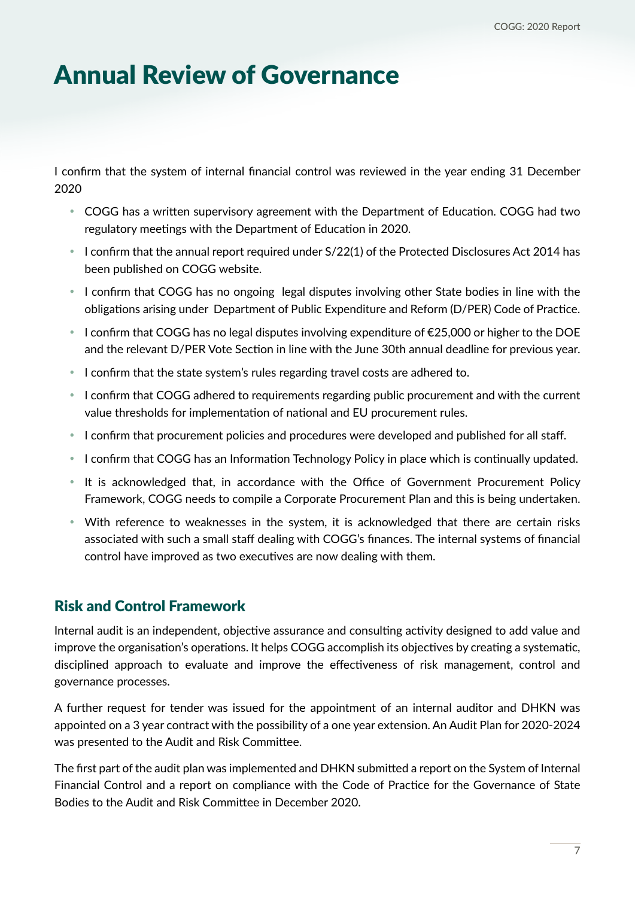## Annual Review of Governance

I confirm that the system of internal financial control was reviewed in the year ending 31 December 2020

- COGG has a written supervisory agreement with the Department of Education. COGG had two regulatory meetings with the Department of Education in 2020.
- I confirm that the annual report required under  $S/22(1)$  of the Protected Disclosures Act 2014 has been published on COGG website.
- • I confirm that COGG has no ongoing legal disputes involving other State bodies in line with the obligations arising under Department of Public Expenditure and Reform (D/PER) Code of Practice.
- $\bullet$  I confirm that COGG has no legal disputes involving expenditure of €25,000 or higher to the DOE and the relevant D/PER Vote Section in line with the June 30th annual deadline for previous year.
- I confirm that the state system's rules regarding travel costs are adhered to.
- I confirm that COGG adhered to requirements regarding public procurement and with the current value thresholds for implementation of national and EU procurement rules.
- I confirm that procurement policies and procedures were developed and published for all staff.
- I confirm that COGG has an Information Technology Policy in place which is continually updated.
- It is acknowledged that, in accordance with the Office of Government Procurement Policy Framework, COGG needs to compile a Corporate Procurement Plan and this is being undertaken.
- With reference to weaknesses in the system, it is acknowledged that there are certain risks associated with such a small staff dealing with COGG's finances. The internal systems of financial control have improved as two executives are now dealing with them.

#### Risk and Control Framework

Internal audit is an independent, objective assurance and consulting activity designed to add value and improve the organisation's operations. It helps COGG accomplish its objectives by creating a systematic, disciplined approach to evaluate and improve the effectiveness of risk management, control and governance processes.

A further request for tender was issued for the appointment of an internal auditor and DHKN was appointed on a 3 year contract with the possibility of a one year extension. An Audit Plan for 2020-2024 was presented to the Audit and Risk Committee.

The first part of the audit plan was implemented and DHKN submitted a report on the System of Internal Financial Control and a report on compliance with the Code of Practice for the Governance of State Bodies to the Audit and Risk Committee in December 2020.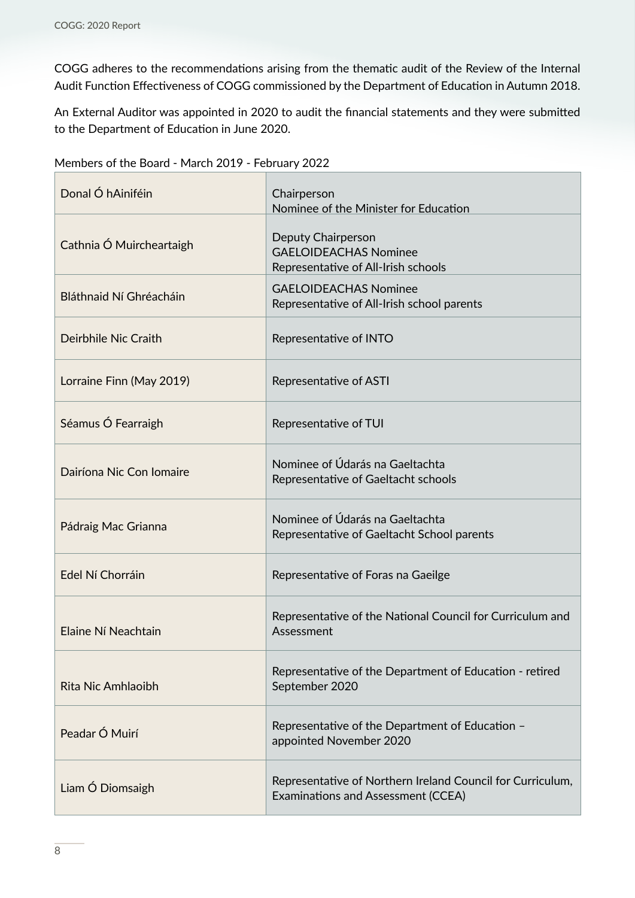COGG adheres to the recommendations arising from the thematic audit of the Review of the Internal Audit Function Effectiveness of COGG commissioned by the Department of Education in Autumn 2018.

An External Auditor was appointed in 2020 to audit the financial statements and they were submitted to the Department of Education in June 2020.

Members of the Board - March 2019 - February 2022

| Donal Ó hAiniféin        | Chairperson<br>Nominee of the Minister for Education                                             |
|--------------------------|--------------------------------------------------------------------------------------------------|
| Cathnia Ó Muircheartaigh | <b>Deputy Chairperson</b><br><b>GAELOIDEACHAS Nominee</b><br>Representative of All-Irish schools |
| Bláthnaid Ní Ghréacháin  | <b>GAELOIDEACHAS Nominee</b><br>Representative of All-Irish school parents                       |
| Deirbhile Nic Craith     | Representative of INTO                                                                           |
| Lorraine Finn (May 2019) | <b>Representative of ASTI</b>                                                                    |
| Séamus Ó Fearraigh       | Representative of TUI                                                                            |
| Dairíona Nic Con Iomaire | Nominee of Údarás na Gaeltachta<br>Representative of Gaeltacht schools                           |
| Pádraig Mac Grianna      | Nominee of Údarás na Gaeltachta<br>Representative of Gaeltacht School parents                    |
| Edel Ní Chorráin         | Representative of Foras na Gaeilge                                                               |
| Elaine Ní Neachtain      | Representative of the National Council for Curriculum and<br>Assessment                          |
| Rita Nic Amhlaoibh       | Representative of the Department of Education - retired<br>September 2020                        |
| Peadar Ó Muirí           | Representative of the Department of Education -<br>appointed November 2020                       |
| Liam Ó Diomsaigh         | Representative of Northern Ireland Council for Curriculum,<br>Examinations and Assessment (CCEA) |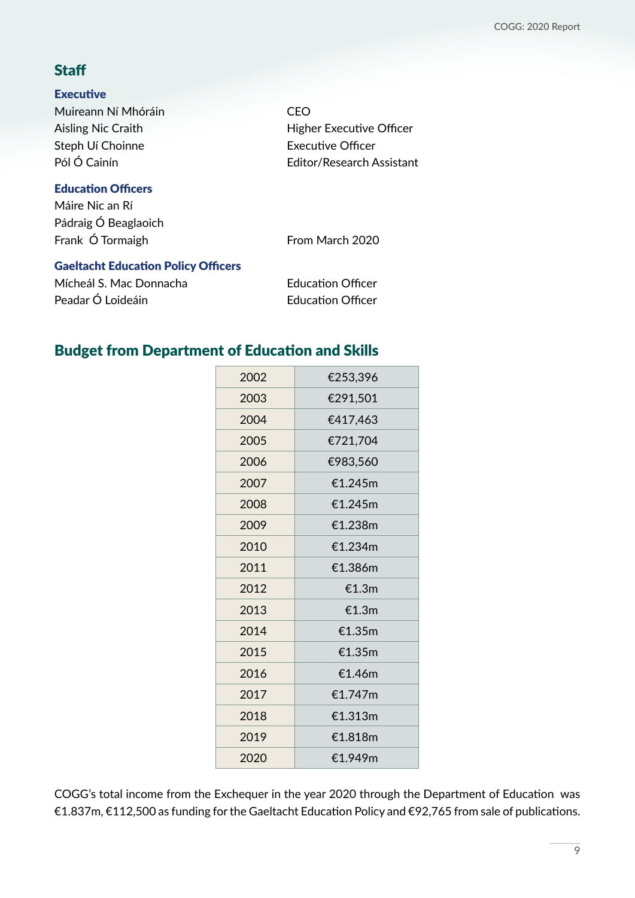### **Staff**

#### **Executive**

Muireann Ní Mhóráin **CEO** Steph Uí Choinne **Executive Officer** 

#### Education Officers

Máire Nic an Rí Pádraig Ó Beaglaoich Frank Ó Tormaigh **Frank Ó Tormaigh** From March 2020

Aisling Nic Craith **Higher Executive Officer** Pól Ó Cainín **Editor/Research Assistant** 

#### Gaeltacht Education Policy Officers

| Mícheál S. Mac Donnacha | <b>Education Officer</b> |
|-------------------------|--------------------------|
| Peadar Ó Loideáin       | <b>Education Officer</b> |

### Budget from Department of Education and Skills

| 2002 | €253,396 |
|------|----------|
| 2003 | €291,501 |
| 2004 | €417,463 |
| 2005 | €721,704 |
| 2006 | €983,560 |
| 2007 | €1.245m  |
| 2008 | €1.245m  |
| 2009 | €1.238m  |
| 2010 | €1.234m  |
| 2011 | €1.386m  |
| 2012 | €1.3m    |
| 2013 | €1.3m    |
| 2014 | €1.35m   |
| 2015 | €1.35m   |
| 2016 | €1.46m   |
| 2017 | €1.747m  |
| 2018 | €1.313m  |
| 2019 | €1.818m  |
| 2020 | €1.949m  |

COGG's total income from the Exchequer in the year 2020 through the Department of Education was €1.837m, €112,500 as funding for the Gaeltacht Education Policy and €92,765 from sale of publications.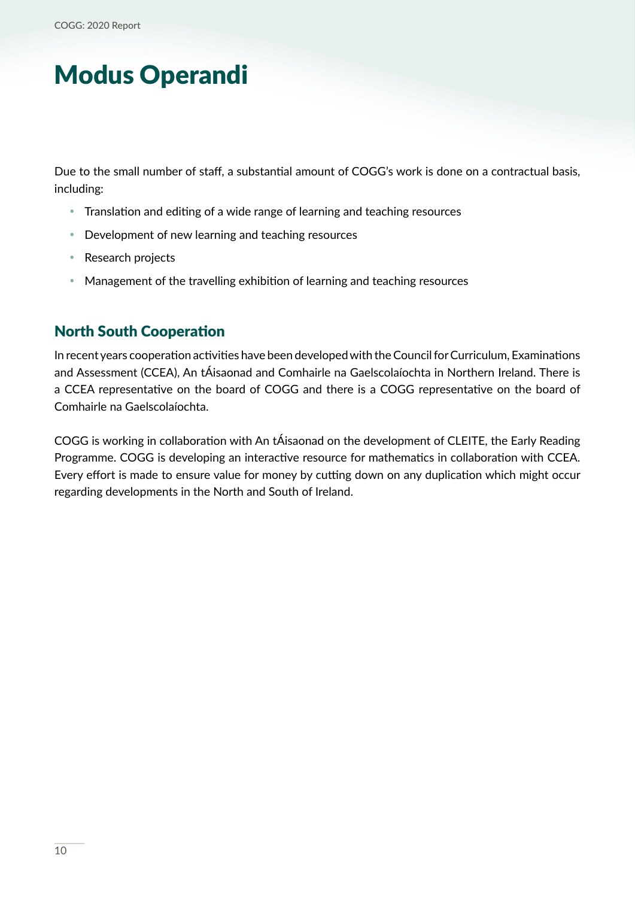## Modus Operandi

Due to the small number of staff, a substantial amount of COGG's work is done on a contractual basis, including:

- Translation and editing of a wide range of learning and teaching resources
- Development of new learning and teaching resources
- • Research projects
- Management of the travelling exhibition of learning and teaching resources

### North South Cooperation

In recent years cooperation activities have been developed with the Council for Curriculum, Examinations and Assessment (CCEA), An tÁisaonad and Comhairle na Gaelscolaíochta in Northern Ireland. There is a CCEA representative on the board of COGG and there is a COGG representative on the board of Comhairle na Gaelscolaíochta.

COGG is working in collaboration with An tÁisaonad on the development of CLEITE, the Early Reading Programme. COGG is developing an interactive resource for mathematics in collaboration with CCEA. Every effort is made to ensure value for money by cutting down on any duplication which might occur regarding developments in the North and South of Ireland.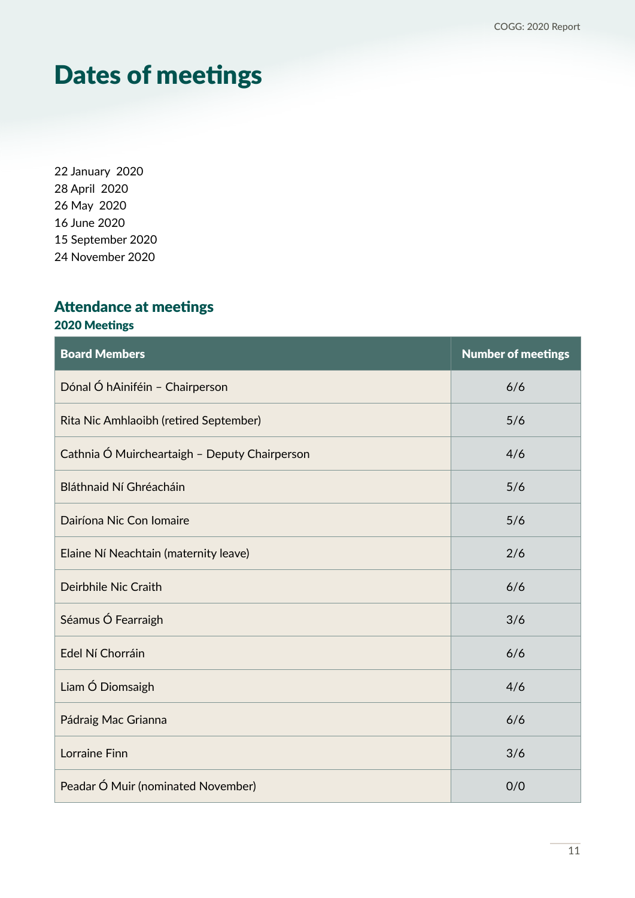## Dates of meetings

22 January 2020 28 April 2020 26 May 2020 16 June 2020 15 September 2020 24 November 2020

### Attendance at meetings

#### 2020 Meetings

| <b>Board Members</b>                          | <b>Number of meetings</b> |
|-----------------------------------------------|---------------------------|
| Dónal Ó hAiniféin - Chairperson               | 6/6                       |
| Rita Nic Amhlaoibh (retired September)        | 5/6                       |
| Cathnia Ó Muircheartaigh - Deputy Chairperson | 4/6                       |
| Bláthnaid Ní Ghréacháin                       | 5/6                       |
| Dairíona Nic Con Iomaire                      | 5/6                       |
| Elaine Ní Neachtain (maternity leave)         | 2/6                       |
| Deirbhile Nic Craith                          | 6/6                       |
| Séamus Ó Fearraigh                            | 3/6                       |
| Edel Ní Chorráin                              | 6/6                       |
| Liam Ó Diomsaigh                              | 4/6                       |
| Pádraig Mac Grianna                           | 6/6                       |
| <b>Lorraine Finn</b>                          | 3/6                       |
| Peadar Ó Muir (nominated November)            | 0/0                       |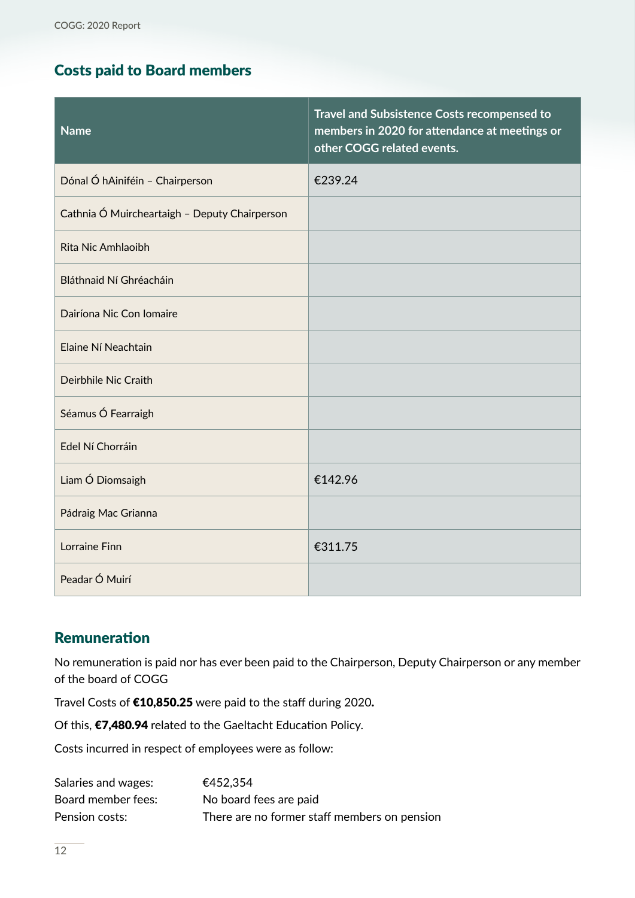### Costs paid to Board members

| <b>Name</b>                                   | Travel and Subsistence Costs recompensed to<br>members in 2020 for attendance at meetings or<br>other COGG related events. |
|-----------------------------------------------|----------------------------------------------------------------------------------------------------------------------------|
| Dónal Ó hAiniféin - Chairperson               | €239.24                                                                                                                    |
| Cathnia Ó Muircheartaigh - Deputy Chairperson |                                                                                                                            |
| Rita Nic Amhlaoibh                            |                                                                                                                            |
| Bláthnaid Ní Ghréacháin                       |                                                                                                                            |
| Dairíona Nic Con Iomaire                      |                                                                                                                            |
| Elaine Ní Neachtain                           |                                                                                                                            |
| Deirbhile Nic Craith                          |                                                                                                                            |
| Séamus Ó Fearraigh                            |                                                                                                                            |
| Edel Ní Chorráin                              |                                                                                                                            |
| Liam Ó Diomsaigh                              | €142.96                                                                                                                    |
| Pádraig Mac Grianna                           |                                                                                                                            |
| <b>Lorraine Finn</b>                          | €311.75                                                                                                                    |
| Peadar Ó Muirí                                |                                                                                                                            |

### Remuneration

No remuneration is paid nor has ever been paid to the Chairperson, Deputy Chairperson or any member of the board of COGG

Travel Costs of €10,850.25 were paid to the staff during 2020.

Of this, €7,480.94 related to the Gaeltacht Education Policy.

Costs incurred in respect of employees were as follow:

| Salaries and wages: | €452,354                                     |
|---------------------|----------------------------------------------|
| Board member fees:  | No board fees are paid                       |
| Pension costs:      | There are no former staff members on pension |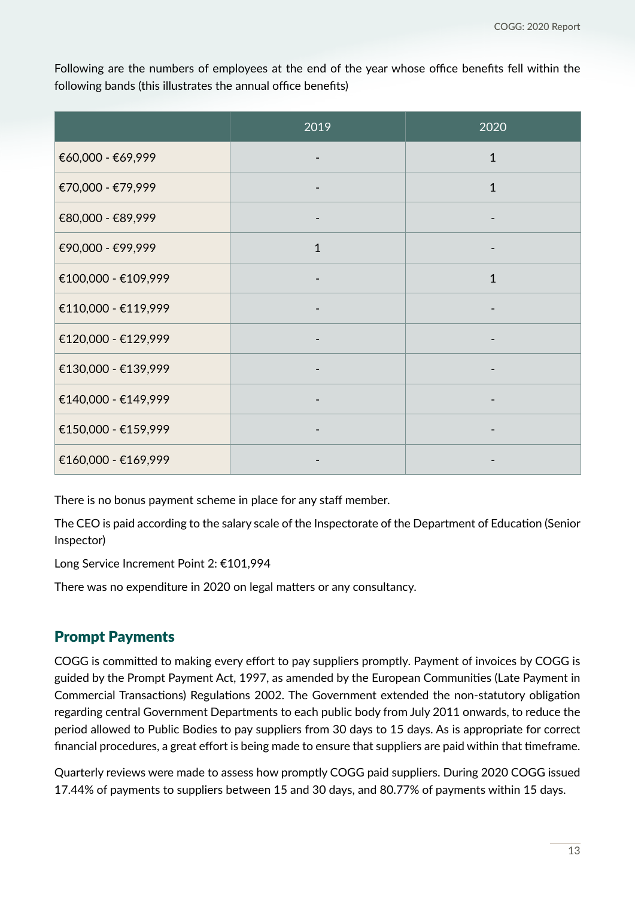Following are the numbers of employees at the end of the year whose office benefits fell within the following bands (this illustrates the annual office benefits)

|                     | 2019         | 2020         |
|---------------------|--------------|--------------|
| €60,000 - €69,999   |              | $\mathbf{1}$ |
| €70,000 - €79,999   |              | 1            |
| €80,000 - €89,999   |              |              |
| €90,000 - €99,999   | $\mathbf{1}$ |              |
| €100,000 - €109,999 |              | $\mathbf{1}$ |
| €110,000 - €119,999 |              |              |
| €120,000 - €129,999 |              |              |
| €130,000 - €139,999 |              |              |
| €140,000 - €149,999 |              |              |
| €150,000 - €159,999 |              |              |
| €160,000 - €169,999 |              |              |

There is no bonus payment scheme in place for any staff member.

The CEO is paid according to the salary scale of the Inspectorate of the Department of Education (Senior Inspector)

Long Service Increment Point 2: €101,994

There was no expenditure in 2020 on legal matters or any consultancy.

#### Prompt Payments

COGG is committed to making every effort to pay suppliers promptly. Payment of invoices by COGG is guided by the Prompt Payment Act, 1997, as amended by the European Communities (Late Payment in Commercial Transactions) Regulations 2002. The Government extended the non-statutory obligation regarding central Government Departments to each public body from July 2011 onwards, to reduce the period allowed to Public Bodies to pay suppliers from 30 days to 15 days. As is appropriate for correct financial procedures, a great effort is being made to ensure that suppliers are paid within that timeframe.

Quarterly reviews were made to assess how promptly COGG paid suppliers. During 2020 COGG issued 17.44% of payments to suppliers between 15 and 30 days, and 80.77% of payments within 15 days.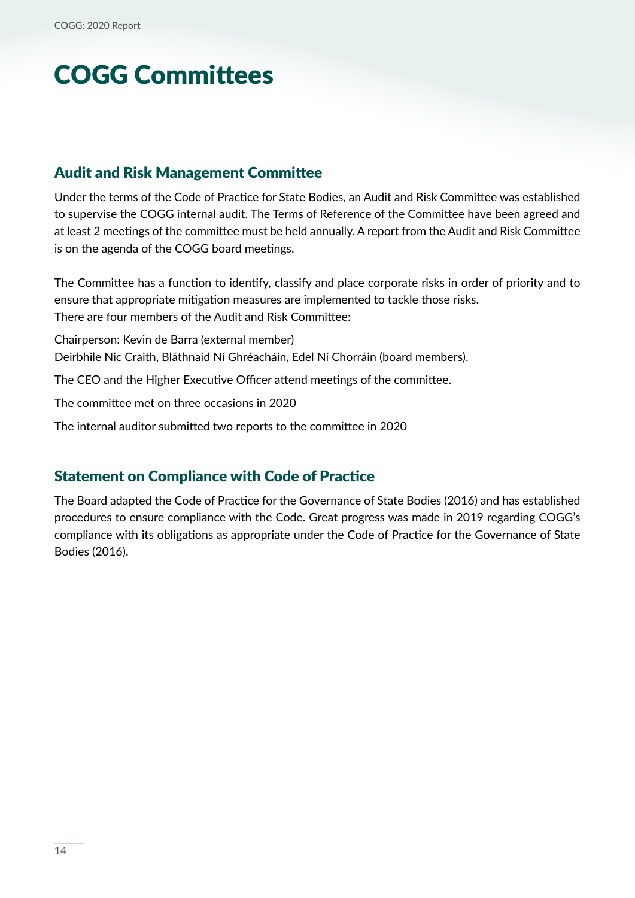## COGG Committees

### Audit and Risk Management Committee

Under the terms of the Code of Practice for State Bodies, an Audit and Risk Committee was established to supervise the COGG internal audit. The Terms of Reference of the Committee have been agreed and at least 2 meetings of the committee must be held annually. A report from the Audit and Risk Committee is on the agenda of the COGG board meetings.

The Committee has a function to identify, classify and place corporate risks in order of priority and to ensure that appropriate mitigation measures are implemented to tackle those risks. There are four members of the Audit and Risk Committee:

Chairperson: Kevin de Barra (external member)

Deirbhile Nic Craith, Bláthnaid Ní Ghréacháin, Edel Ní Chorráin (board members).

The CEO and the Higher Executive Officer attend meetings of the committee.

The committee met on three occasions in 2020

The internal auditor submitted two reports to the committee in 2020

### Statement on Compliance with Code of Practice

The Board adapted the Code of Practice for the Governance of State Bodies (2016) and has established procedures to ensure compliance with the Code. Great progress was made in 2019 regarding COGG's compliance with its obligations as appropriate under the Code of Practice for the Governance of State Bodies (2016).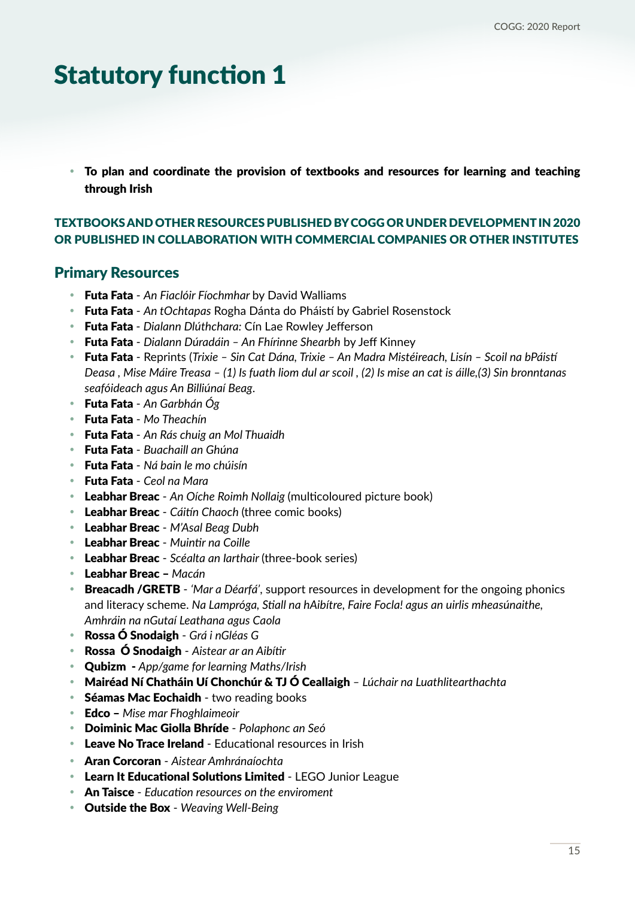## Statutory function 1

• To plan and coordinate the provision of textbooks and resources for learning and teaching through Irish

#### TEXTBOOKS AND OTHER RESOURCES PUBLISHED BY COGG OR UNDER DEVELOPMENT IN 2020 OR PUBLISHED IN COLLABORATION WITH COMMERCIAL COMPANIES OR OTHER INSTITUTES

#### Primary Resources

- • Futa Fata *An Fiaclóir Fíochmhar* by David Walliams
- • Futa Fata *An tOchtapas* Rogha Dánta do Pháistí by Gabriel Rosenstock
- • Futa Fata *Dialann Dlúthchara:* Cín Lae Rowley Jefferson
- • Futa Fata *Dialann Dúradáin An Fhírinne Shearbh* by Jeff Kinney
- • Futa Fata Reprints (*Trixie Sin Cat Dána, Trixie An Madra Mistéireach, Lisín Scoil na bPáistí Deasa , Mise Máire Treasa – (1) Is fuath liom dul ar scoil , (2) Is mise an cat is áille,(3) Sin bronntanas seafóideach agus An Billiúnaí Beag*.
- • Futa Fata *An Garbhán Óg*
- • Futa Fata *Mo Theachín*
- • Futa Fata *An Rás chuig an Mol Thuaidh*
- • Futa Fata *Buachaill an Ghúna*
- • Futa Fata *Ná bain le mo chúisín*
- • Futa Fata *Ceol na Mara*
- Leabhar Breac *An Oíche Roimh Nollaig (multicoloured picture book)*
- • Leabhar Breac *Cáitín Chaoch* (three comic books)
- • Leabhar Breac *M'Asal Beag Dubh*
- • Leabhar Breac *Muintir na Coille*
- • Leabhar Breac *Scéalta an Iarthair* (three-book series)
- • Leabhar Breac *Macán*
- **Breacadh /GRETB** *'Mar a Déarfá'*, support resources in development for the ongoing phonics and literacy scheme. *Na Lampróga, Stiall na hAibítre, Faire Focla! agus an uirlis mheasúnaithe, Amhráin na nGutaí Leathana agus Caola*
- • Rossa Ó Snodaigh *Grá i nGléas G*
- • Rossa Ó Snodaigh *Aistear ar an Aibítir*
- • Qubizm *App/game for learning Maths/Irish*
- • Mairéad Ní Chatháin Uí Chonchúr & TJ Ó Ceallaigh  *Lúchair na Luathlitearthachta*
- Séamas Mac Eochaidh two reading books
- • Edco *Mise mar Fhoghlaimeoir*
- • Doiminic Mac Giolla Bhríde *Polaphonc an Seó*
- Leave No Trace Ireland Educational resources in Irish
- • Aran Corcoran *Aistear Amhránaíochta*
- Learn It Educational Solutions Limited LEGO Junior League
- • An Taisce *Education resources on the enviroment*
- • Outside the Box *Weaving Well-Being*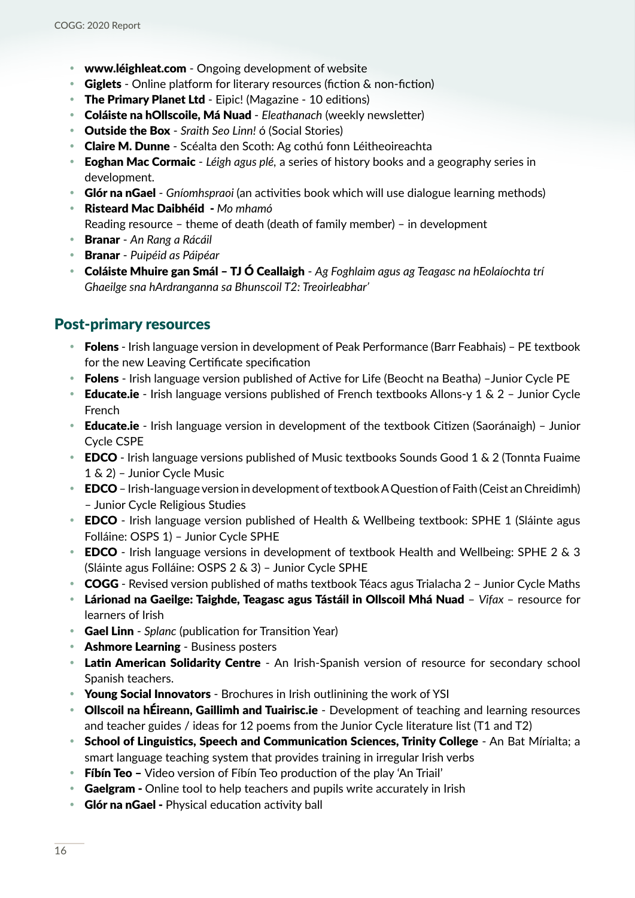- www.léighleat.com Ongoing development of website
- Giglets Online platform for literary resources (fiction & non-fiction)
- The Primary Planet Ltd Eipic! (Magazine 10 editions)
- • Coláiste na hOllscoile, Má Nuad *Eleathanach* (weekly newsletter)
- • Outside the Box *Sraith Seo Linn!* ó (Social Stories)
- Claire M. Dunne Scéalta den Scoth: Ag cothú fonn Léitheoireachta
- • Eoghan Mac Cormaic *Léigh agus plé,* a series of history books and a geography series in development.
- • Glór na nGael *Gníomhspraoi* (an activities book which will use dialogue learning methods)
- • Risteard Mac Daibhéid *Mo mhamó*
- Reading resource theme of death (death of family member) in development
- • Branar *An Rang a Rácáil*
- • Branar *Puipéid as Páipéar*
- • Coláiste Mhuire gan Smál TJ Ó Ceallaigh *Ag Foghlaim agus ag Teagasc na hEolaíochta trí Ghaeilge sna hArdranganna sa Bhunscoil T2: Treoirleabhar'*

### Post-primary resources

- **Folens** Irish language version in development of Peak Performance (Barr Feabhais) PE textbook for the new Leaving Certificate specification
- Folens Irish language version published of Active for Life (Beocht na Beatha) Junior Cycle PE
- **Educate.ie** Irish language versions published of French textbooks Allons-y 1 & 2 Junior Cycle French
- Educate.ie Irish language version in development of the textbook Citizen (Saoránaigh) Junior Cycle CSPE
- **EDCO** Irish language versions published of Music textbooks Sounds Good 1 & 2 (Tonnta Fuaime 1 & 2) – Junior Cycle Music
- **EDCO** Irish-language version in development of textbook A Question of Faith (Ceist an Chreidimh) – Junior Cycle Religious Studies
- **EDCO** Irish language version published of Health & Wellbeing textbook: SPHE 1 (Sláinte agus Folláine: OSPS 1) – Junior Cycle SPHE
- **EDCO** Irish language versions in development of textbook Health and Wellbeing: SPHE 2 & 3 (Sláinte agus Folláine: OSPS 2 & 3) – Junior Cycle SPHE
- **COGG** Revised version published of maths textbook Téacs agus Trialacha  $2$  Junior Cycle Maths
- • Lárionad na Gaeilge: Taighde, Teagasc agus Tástáil in Ollscoil Mhá Nuad *Vifax*  resource for learners of Irish
- **Gael Linn** *Splanc* (publication for Transition Year)
- Ashmore Learning Business posters
- Latin American Solidarity Centre An Irish-Spanish version of resource for secondary school Spanish teachers.
- Young Social Innovators Brochures in Irish outlinining the work of YSI
- **Ollscoil na hÉireann, Gaillimh and Tuairisc.ie** Development of teaching and learning resources and teacher guides / ideas for 12 poems from the Junior Cycle literature list (T1 and T2)
- **School of Linguistics, Speech and Communication Sciences, Trinity College An Bat Mirialta; a** smart language teaching system that provides training in irregular Irish verbs
- Fíbín Teo Video version of Fíbín Teo production of the play 'An Triail'
- **Gaelgram -** Online tool to help teachers and pupils write accurately in Irish
- Glór na nGael Physical education activity ball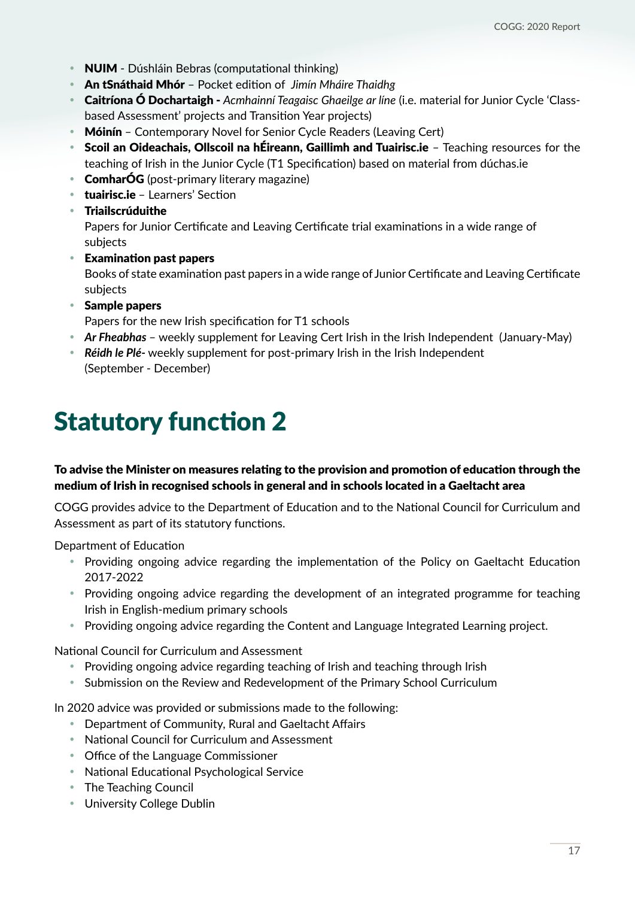- **NUIM** Dúshláin Bebras (computational thinking)
- **An tSnáthaid Mhór** Pocket edition of *Jimín Mháire Thaidhg*
- • Caitríona Ó Dochartaigh *Acmhainní Teagaisc Ghaeilge ar líne* (i.e. material for Junior Cycle 'Classbased Assessment' projects and Transition Year projects)
- Móinín Contemporary Novel for Senior Cycle Readers (Leaving Cert)
- $\bullet$  Scoil an Oideachais, Ollscoil na hÉireann, Gaillimh and Tuairisc.ie Teaching resources for the teaching of Irish in the Junior Cycle (T1 Specification) based on material from dúchas.ie
- **ComharÓG** (post-primary literary magazine)
- **tuairisc.ie** Learners' Section
- • Triailscrúduithe

Papers for Junior Certificate and Leaving Certificate trial examinations in a wide range of subjects

- • Examination past papers Books of state examination past papers in a wide range of Junior Certificate and Leaving Certificate subjects
- • Sample papers

Papers for the new Irish specification for T1 schools

- • *Ar Fheabhas*  weekly supplement for Leaving Cert Irish in the Irish Independent (January-May)
- • *Réidh le Plé-* weekly supplement for post-primary Irish in the Irish Independent (September - December)

## Statutory function 2

#### To advise the Minister on measures relating to the provision and promotion of education through the medium of Irish in recognised schools in general and in schools located in a Gaeltacht area

COGG provides advice to the Department of Education and to the National Council for Curriculum and Assessment as part of its statutory functions.

Department of Education

- • Providing ongoing advice regarding the implementation of the Policy on Gaeltacht Education 2017-2022
- Providing ongoing advice regarding the development of an integrated programme for teaching Irish in English-medium primary schools
- Providing ongoing advice regarding the Content and Language Integrated Learning project.

National Council for Curriculum and Assessment

- Providing ongoing advice regarding teaching of Irish and teaching through Irish
- Submission on the Review and Redevelopment of the Primary School Curriculum

In 2020 advice was provided or submissions made to the following:

- Department of Community, Rural and Gaeltacht Affairs
- National Council for Curriculum and Assessment
- Office of the Language Commissioner
- National Educational Psychological Service
- The Teaching Council
- • University College Dublin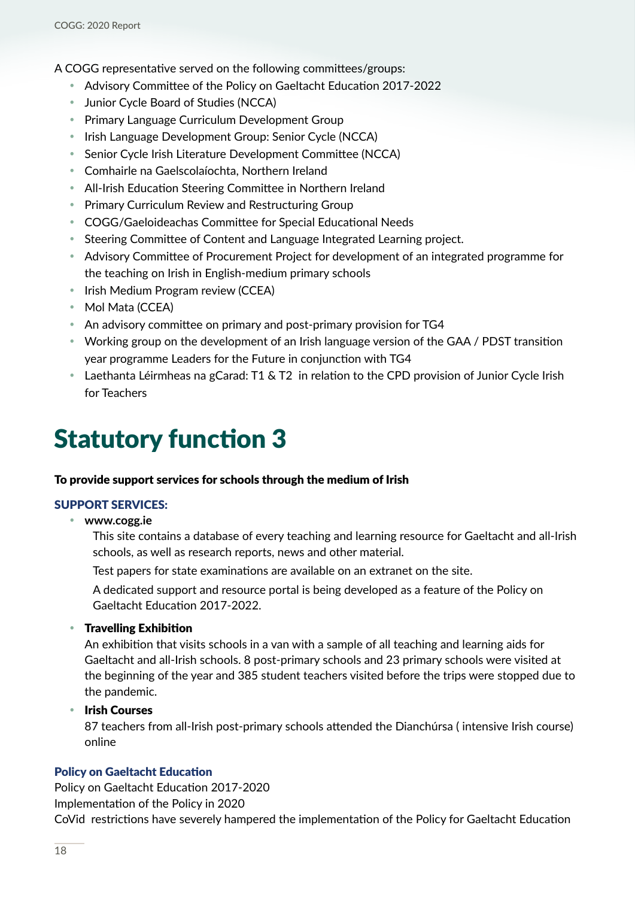A COGG representative served on the following committees/groups:

- Advisory Committee of the Policy on Gaeltacht Education 2017-2022
- • Junior Cycle Board of Studies (NCCA)
- Primary Language Curriculum Development Group
- Irish Language Development Group: Senior Cycle (NCCA)
- Senior Cycle Irish Literature Development Committee (NCCA)
- • Comhairle na Gaelscolaíochta, Northern Ireland
- All-Irish Education Steering Committee in Northern Ireland
- Primary Curriculum Review and Restructuring Group
- COGG/Gaeloideachas Committee for Special Educational Needs
- Steering Committee of Content and Language Integrated Learning project.
- Advisory Committee of Procurement Project for development of an integrated programme for the teaching on Irish in English-medium primary schools
- Irish Medium Program review (CCEA)
- Mol Mata (CCEA)
- An advisory committee on primary and post-primary provision for TG4
- • Working group on the development of an Irish language version of the GAA / PDST transition year programme Leaders for the Future in conjunction with TG4
- • Laethanta Léirmheas na gCarad: T1 & T2 in relation to the CPD provision of Junior Cycle Irish for Teachers

## Statutory function 3

#### To provide support services for schools through the medium of Irish

#### SUPPORT SERVICES:

• **www.cogg.ie**

This site contains a database of every teaching and learning resource for Gaeltacht and all-Irish schools, as well as research reports, news and other material.

Test papers for state examinations are available on an extranet on the site.

A dedicated support and resource portal is being developed as a feature of the Policy on Gaeltacht Education 2017-2022.

#### • Travelling Exhibition

An exhibition that visits schools in a van with a sample of all teaching and learning aids for Gaeltacht and all-Irish schools. 8 post-primary schools and 23 primary schools were visited at the beginning of the year and 385 student teachers visited before the trips were stopped due to the pandemic.

#### • Irish Courses

87 teachers from all-Irish post-primary schools attended the Dianchúrsa ( intensive Irish course) online

#### Policy on Gaeltacht Education

Policy on Gaeltacht Education 2017-2020 Implementation of the Policy in 2020 CoVid restrictions have severely hampered the implementation of the Policy for Gaeltacht Education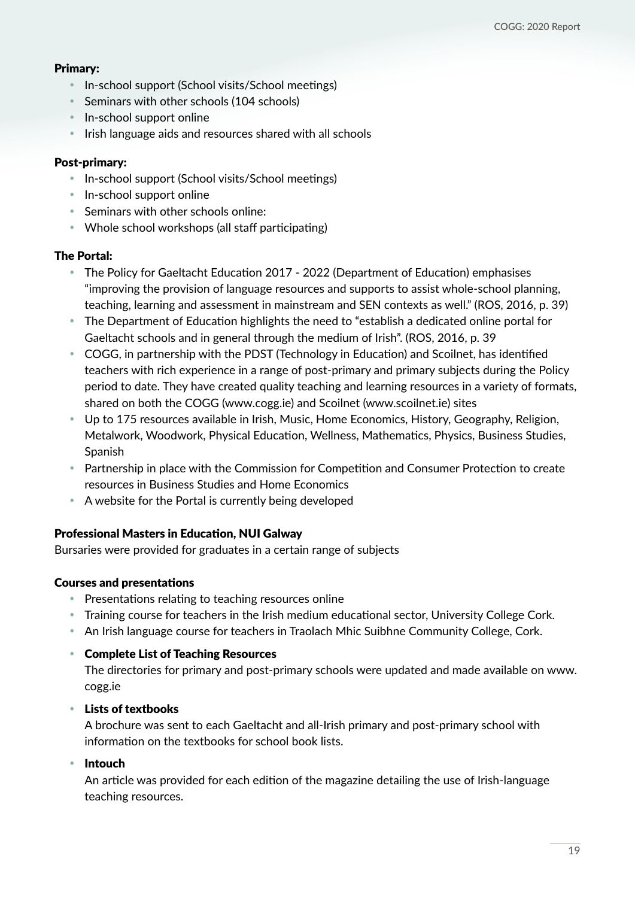#### Primary:

- In-school support (School visits/School meetings)
- Seminars with other schools (104 schools)
- In-school support online
- Irish language aids and resources shared with all schools

#### Post-primary:

- In-school support (School visits/School meetings)
- In-school support online
- Seminars with other schools online:
- Whole school workshops (all staff participating)

#### The Portal:

- • The Policy for Gaeltacht Education 2017 2022 (Department of Education) emphasises "improving the provision of language resources and supports to assist whole-school planning, teaching, learning and assessment in mainstream and SEN contexts as well." (ROS, 2016, p. 39)
- The Department of Education highlights the need to "establish a dedicated online portal for Gaeltacht schools and in general through the medium of Irish". (ROS, 2016, p. 39
- COGG, in partnership with the PDST (Technology in Education) and Scoilnet, has identified teachers with rich experience in a range of post-primary and primary subjects during the Policy period to date. They have created quality teaching and learning resources in a variety of formats, shared on both the COGG (www.cogg.ie) and Scoilnet (www.scoilnet.ie) sites
- Up to 175 resources available in Irish, Music, Home Economics, History, Geography, Religion, Metalwork, Woodwork, Physical Education, Wellness, Mathematics, Physics, Business Studies, Spanish
- Partnership in place with the Commission for Competition and Consumer Protection to create resources in Business Studies and Home Economics
- A website for the Portal is currently being developed

#### Professional Masters in Education, NUI Galway

Bursaries were provided for graduates in a certain range of subjects

#### Courses and presentations

- Presentations relating to teaching resources online
- • Training course for teachers in the Irish medium educational sector, University College Cork.
- An Irish language course for teachers in Traolach Mhic Suibhne Community College, Cork.

#### • Complete List of Teaching Resources

The directories for primary and post-primary schools were updated and made available on www. cogg.ie

#### • Lists of textbooks

A brochure was sent to each Gaeltacht and all-Irish primary and post-primary school with information on the textbooks for school book lists.

#### • Intouch

An article was provided for each edition of the magazine detailing the use of Irish-language teaching resources.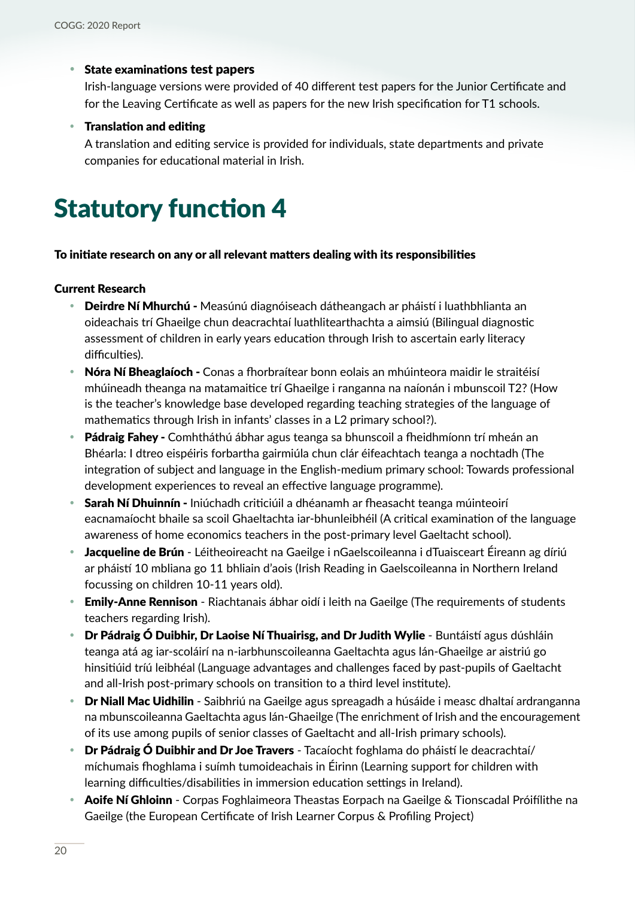#### • State examinations test papers

Irish-language versions were provided of 40 different test papers for the Junior Certificate and for the Leaving Certificate as well as papers for the new Irish specification for T1 schools.

#### • Translation and editing

A translation and editing service is provided for individuals, state departments and private companies for educational material in Irish.

## Statutory function 4

#### To initiate research on any or all relevant matters dealing with its responsibilities

#### Current Research

- Deirdre Ní Mhurchú Measúnú diagnóiseach dátheangach ar pháistí i luathbhlianta an oideachais trí Ghaeilge chun deacrachtaí luathlitearthachta a aimsiú (Bilingual diagnostic assessment of children in early years education through Irish to ascertain early literacy difficulties).
- Nóra Ní Bheaglaíoch Conas a fhorbraítear bonn eolais an mhúinteora maidir le straitéisí mhúineadh theanga na matamaitice trí Ghaeilge i ranganna na naíonán i mbunscoil T2? (How is the teacher's knowledge base developed regarding teaching strategies of the language of mathematics through Irish in infants' classes in a L2 primary school?).
- Pádraig Fahey Comhtháthú ábhar agus teanga sa bhunscoil a fheidhmíonn trí mheán an Bhéarla: I dtreo eispéiris forbartha gairmiúla chun clár éifeachtach teanga a nochtadh (The integration of subject and language in the English-medium primary school: Towards professional development experiences to reveal an effective language programme).
- **Sarah Ní Dhuinnín -** Iniúchadh criticiúil a dhéanamh ar fheasacht teanga múinteoirí eacnamaíocht bhaile sa scoil Ghaeltachta iar-bhunleibhéil (A critical examination of the language awareness of home economics teachers in the post-primary level Gaeltacht school).
- **Jacqueline de Brún** Léitheoireacht na Gaeilge i nGaelscoileanna i dTuaisceart Éireann ag díriú ar pháistí 10 mbliana go 11 bhliain d'aois (Irish Reading in Gaelscoileanna in Northern Ireland focussing on children 10-11 years old).
- **Emily-Anne Rennison** Riachtanais ábhar oidí i leith na Gaeilge (The requirements of students teachers regarding Irish).
- Dr Pádraig Ó Duibhir, Dr Laoise Ní Thuairisg, and Dr Judith Wylie Buntáistí agus dúshláin teanga atá ag iar-scoláirí na n-iarbhunscoileanna Gaeltachta agus lán-Ghaeilge ar aistriú go hinsitiúid tríú leibhéal (Language advantages and challenges faced by past-pupils of Gaeltacht and all-Irish post-primary schools on transition to a third level institute).
- · Dr Niall Mac Uidhilin Saibhriú na Gaeilge agus spreagadh a húsáide i measc dhaltaí ardranganna na mbunscoileanna Gaeltachta agus lán-Ghaeilge (The enrichment of Irish and the encouragement of its use among pupils of senior classes of Gaeltacht and all-Irish primary schools).
- **Dr Pádraig Ó Duibhir and Dr Joe Travers** Tacaíocht foghlama do pháistí le deacrachtaí/ míchumais fhoghlama i suímh tumoideachais in Éirinn (Learning support for children with learning difficulties/disabilities in immersion education settings in Ireland).
- **Aoife Ní Ghloinn** Corpas Foghlaimeora Theastas Eorpach na Gaeilge & Tionscadal Próifílithe na Gaeilge (the European Certificate of Irish Learner Corpus & Profiling Project)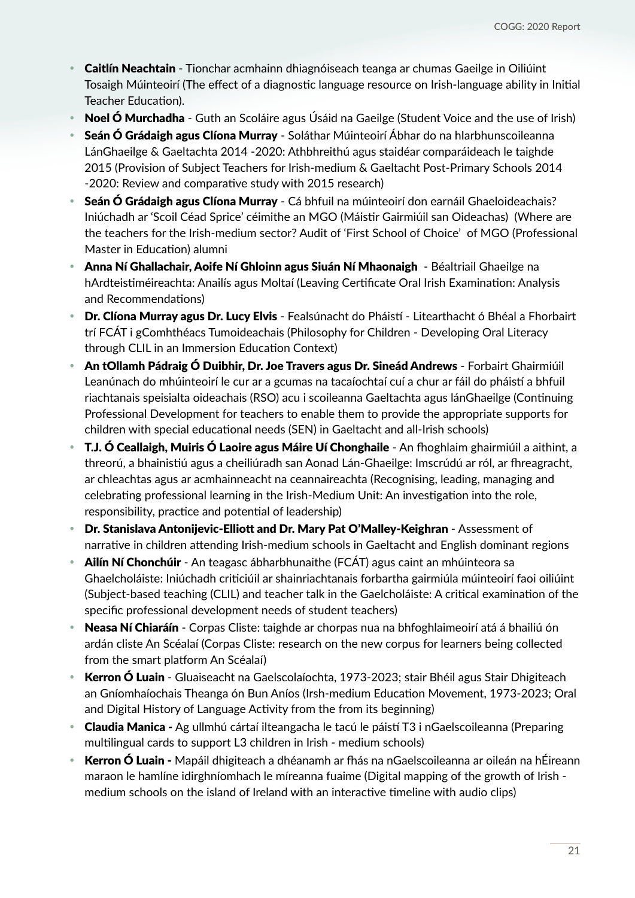- **Caitlín Neachtain** Tionchar acmhainn dhiagnóiseach teanga ar chumas Gaeilge in Oiliúint Tosaigh Múinteoirí (The effect of a diagnostic language resource on Irish-language ability in Initial Teacher Education).
- Noel Ó Murchadha Guth an Scoláire agus Úsáid na Gaeilge (Student Voice and the use of Irish)
- Seán Ó Grádaigh agus Clíona Murray Soláthar Múinteoirí Ábhar do na hIarbhunscoileanna LánGhaeilge & Gaeltachta 2014 -2020: Athbhreithú agus staidéar comparáideach le taighde 2015 (Provision of Subject Teachers for Irish-medium & Gaeltacht Post-Primary Schools 2014 -2020: Review and comparative study with 2015 research)
- Seán Ó Grádaigh agus Clíona Murray Cá bhfuil na múinteoirí don earnáil Ghaeloideachais? Iniúchadh ar 'Scoil Céad Sprice' céimithe an MGO (Máistir Gairmiúil san Oideachas) (Where are the teachers for the Irish-medium sector? Audit of 'First School of Choice' of MGO (Professional Master in Education) alumni
- Anna Ní Ghallachair, Aoife Ní Ghloinn agus Siuán Ní Mhaonaigh Béaltriail Ghaeilge na hArdteistiméireachta: Anailís agus Moltaí (Leaving Certificate Oral Irish Examination: Analysis and Recommendations)
- **Dr. Clíona Murray agus Dr. Lucy Elvis** Fealsúnacht do Pháistí Litearthacht ó Bhéal a Fhorbairt trí FCÁT i gComhthéacs Tumoideachais (Philosophy for Children - Developing Oral Literacy through CLIL in an Immersion Education Context)
- An tOllamh Pádraig Ó Duibhir, Dr. Joe Travers agus Dr. Sineád Andrews Forbairt Ghairmiúil Leanúnach do mhúinteoirí le cur ar a gcumas na tacaíochtaí cuí a chur ar fáil do pháistí a bhfuil riachtanais speisialta oideachais (RSO) acu i scoileanna Gaeltachta agus lánGhaeilge (Continuing Professional Development for teachers to enable them to provide the appropriate supports for children with special educational needs (SEN) in Gaeltacht and all-Irish schools)
- **T.J. Ó Ceallaigh, Muiris Ó Laoire agus Máire Uí Chonghaile** An fhoghlaim ghairmiúil a aithint, a threorú, a bhainistiú agus a cheiliúradh san Aonad Lán-Ghaeilge: Imscrúdú ar ról, ar fhreagracht, ar chleachtas agus ar acmhainneacht na ceannaireachta (Recognising, leading, managing and celebrating professional learning in the Irish-Medium Unit: An investigation into the role, responsibility, practice and potential of leadership)
- **Dr. Stanislava Antonijevic-Elliott and Dr. Mary Pat O'Malley-Keighran Assessment of** narrative in children attending Irish-medium schools in Gaeltacht and English dominant regions
- Ailín Ní Chonchúir An teagasc ábharbhunaithe (FCÁT) agus caint an mhúinteora sa Ghaelcholáiste: Iniúchadh criticiúil ar shainriachtanais forbartha gairmiúla múinteoirí faoi oiliúint (Subject-based teaching (CLIL) and teacher talk in the Gaelcholáiste: A critical examination of the specific professional development needs of student teachers)
- Neasa Ní Chiaráín Corpas Cliste: taighde ar chorpas nua na bhfoghlaimeoirí atá á bhailiú ón ardán cliste An Scéalaí (Corpas Cliste: research on the new corpus for learners being collected from the smart platform An Scéalaí)
- Kerron Ó Luain Gluaiseacht na Gaelscolaíochta, 1973-2023; stair Bhéil agus Stair Dhigiteach an Gníomhaíochais Theanga ón Bun Aníos (Irsh-medium Education Movement, 1973-2023; Oral and Digital History of Language Activity from the from its beginning)
- **Claudia Manica -** Ag ullmhú cártaí ilteangacha le tacú le páistí T3 i nGaelscoileanna (Preparing multilingual cards to support L3 children in Irish - medium schools)
- Kerron Ó Luain Mapáil dhigiteach a dhéanamh ar fhás na nGaelscoileanna ar oileán na hÉireann maraon le hamlíne idirghníomhach le míreanna fuaime (Digital mapping of the growth of Irish medium schools on the island of Ireland with an interactive timeline with audio clips)